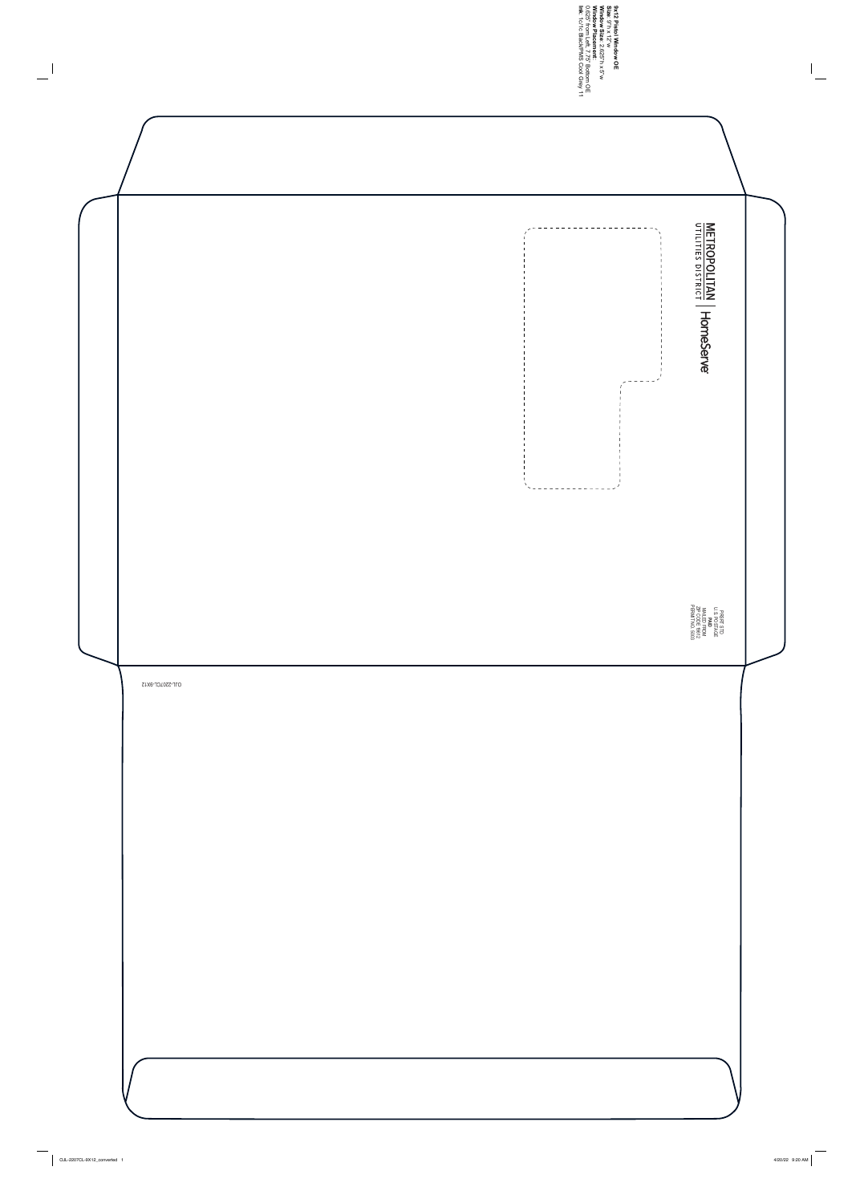**Ink**

**Window PlacementWindow Size**0.625" from Left, 7.75" Bottom OE **Size 9x12 Pistol Window OE** : 1c/1c Black/PMS Cool Grey 11 : 9"h x 12"w : 2.625"h x 5"w : METROPOLITAN HomeServe \_\_\_\_\_\_\_\_\_\_\_\_\_\_\_\_\_\_\_\_  $\begin{array}{cccccccccccccc} - & - & - & - & - & - \end{array}$ PRSRT STD<br>U.S. POSTAGE<br>MAILED FROM<br>MAILED FROM<br>ZIP CODE 19612<br>PERMIT NO. 5003 PERMIT NO. 5003 ZIP CODE 19612 MAILED FROM U.S. POSTAGE PRSRT STD



 $\overline{\phantom{m}}$ 

 $\overline{a}$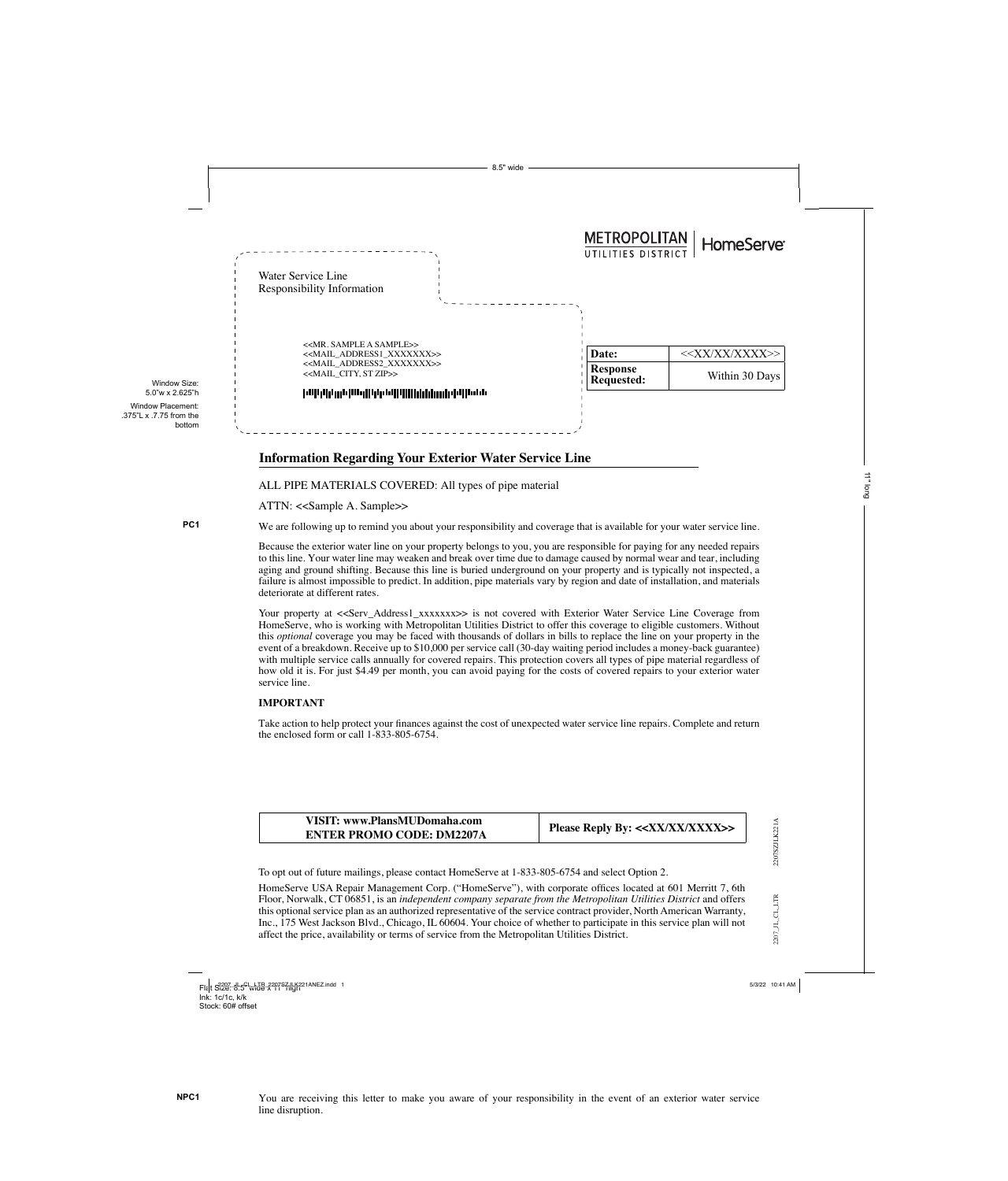2207\_JL\_CL\_LTR

 $2207\_J L\_CL\_LTR$ 

To opt out of future mailings, please contact HomeServe at 1-833-805-6754 and select Option 2.

HomeServe USA Repair Management Corp. ("HomeServe"), with corporate offices located at 601 Merritt 7, 6th Floor, Norwalk, CT 06851, is an *independent company separate from the Metropolitan Utilities District* and offers this optional service plan as an authorized representative of the service contract provider, North American Warranty, Inc., 175 West Jackson Blvd., Chicago, IL 60604. Your choice of whether to participate in this service plan will not affect the price, availability or terms of service from the Metropolitan Utilities District.

**NPC1** You are receiving this letter to make you aware of your responsibility in the event of an exterior water service line disruption.

Flat S32<u>9: 8.5</u>5"whde %297SZjlLY221ANEZ.indd 1 5/3/22 10:41 AM Ink: 1c/1c, k/k Stock: 60# offset

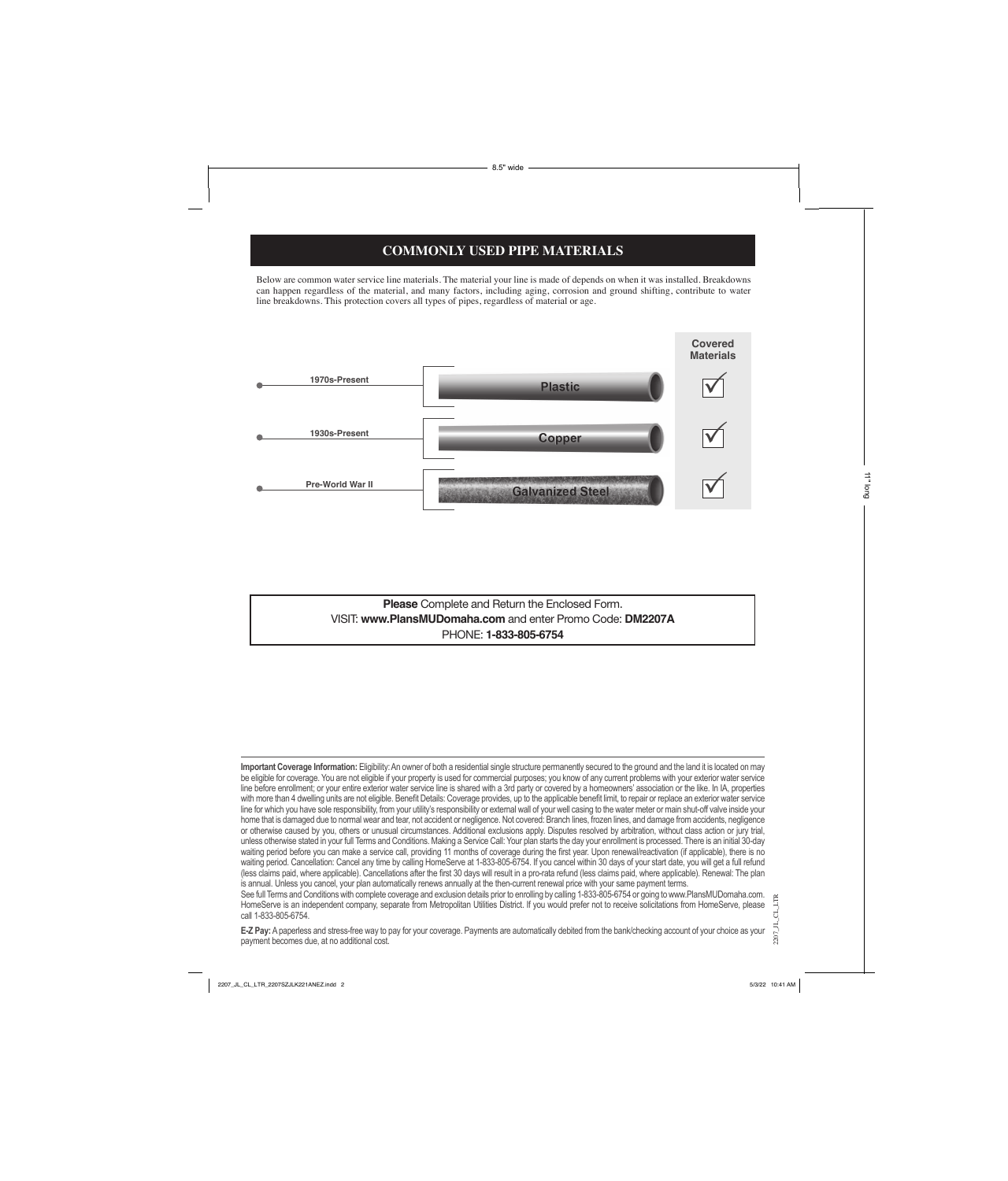**Please** Complete and Return the Enclosed Form. VISIT: **www.PlansMUDomaha.com** and enter Promo Code: **DM2207A** PHONE: **1-833-805-6754**

## **COMMONLY USED PIPE MATERIALS**

Below are common water service line materials. The material your line is made of depends on when it was installed. Breakdowns can happen regardless of the material, and many factors, including aging, corrosion and ground shifting, contribute to water line breakdowns. This protection covers all types of pipes, regardless of material or age.



**Important Coverage Information:** Eligibility: An owner of both a residential single structure permanently secured to the ground and the land it is located on may be eligible for coverage. You are not eligible if your property is used for commercial purposes; you know of any current problems with your exterior water service line before enrollment; or your entire exterior water service line is shared with a 3rd party or covered by a homeowners' association or the like. In IA, properties with more than 4 dwelling units are not eligible. Benefit Details: Coverage provides, up to the applicable benefit limit, to repair or replace an exterior water service line for which you have sole responsibility, from your utility's responsibility or external wall of your well casing to the water meter or main shut-off valve inside your home that is damaged due to normal wear and tear, not accident or negligence. Not covered: Branch lines, frozen lines, and damage from accidents, negligence or otherwise caused by you, others or unusual circumstances. Additional exclusions apply. Disputes resolved by arbitration, without class action or jury trial, unless otherwise stated in your full Terms and Conditions. Making a Service Call: Your plan starts the day your enrollment is processed. There is an initial 30-day waiting period before you can make a service call, providing 11 months of coverage during the first year. Upon renewal/reactivation (if applicable), there is no waiting period. Cancellation: Cancel any time by calling HomeServe at 1-833-805-6754. If you cancel within 30 days of your start date, you will get a full refund

2207\_JL\_CL\_LTR (less claims paid, where applicable). Cancellations after the first 30 days will result in a pro-rata refund (less claims paid, where applicable). Renewal: The plan is annual. Unless you cancel, your plan automatically renews annually at the then-current renewal price with your same payment terms. See full Terms and Conditions with complete coverage and exclusion details prior to enrolling by calling 1-833-805-6754 or going to www.PlansMUDomaha.com. HomeServe is an independent company, separate from Metropolitan Utilities District. If you would prefer not to receive solicitations from HomeServe, please call 1-833-805-6754.

**E-Z Pay:** A paperless and stress-free way to pay for your coverage. Payments are automatically debited from the bank/checking account of your choice as your payment becomes due, at no additional cost.

11" long

8.5" wide

2207\_JL\_CL\_LTR\_2207SZJLK221ANEZ.indd 2 5/3/22 10:41 AM

 $2207$ \_JL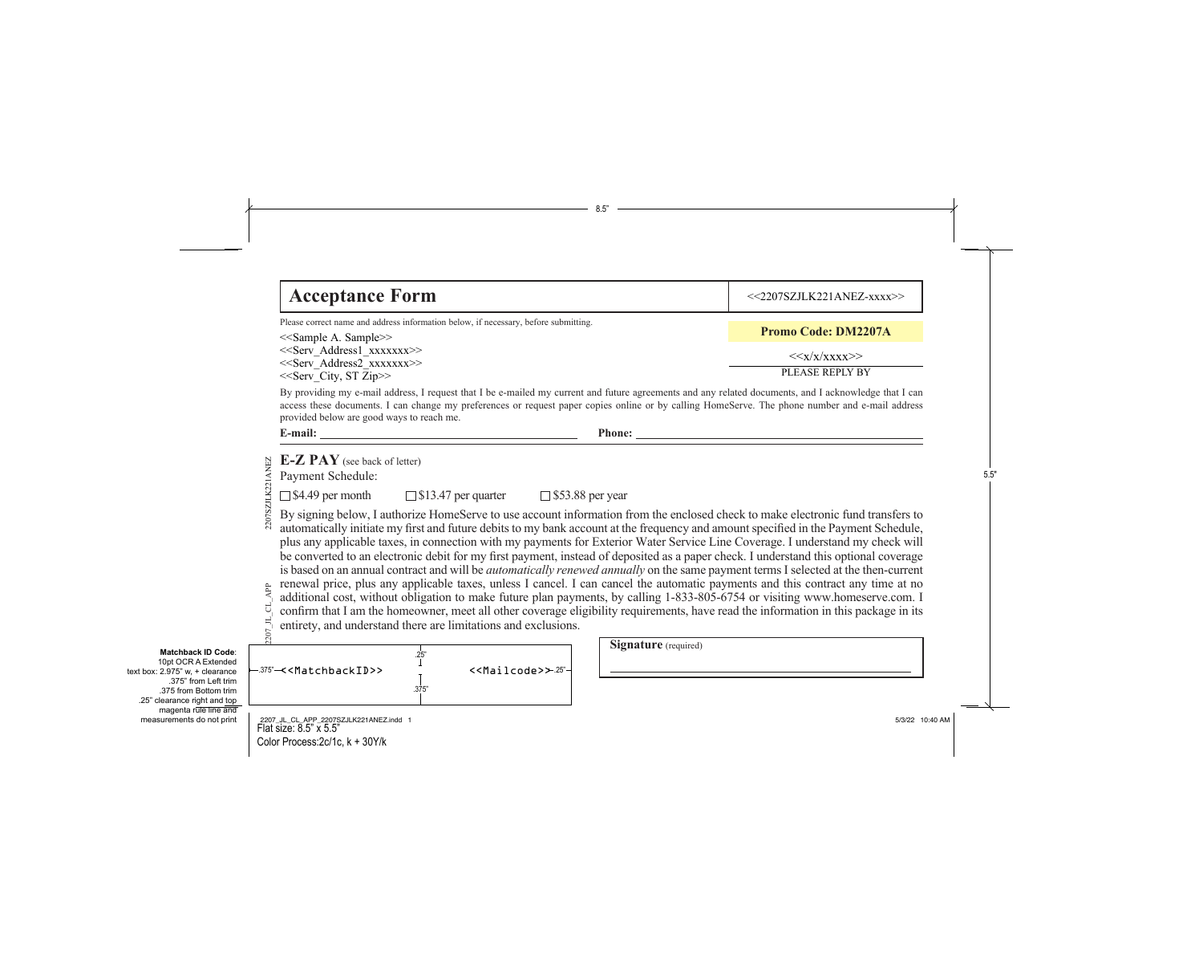|                                                                                                                                                                                                                               | 8.5"                                                                                                                                                                                                                                                                                                                                                                                                                                                                                                                                                                                                                                                                                                                                                                                                                                                                                                                                                                                                                                            |                            |  |  |  |
|-------------------------------------------------------------------------------------------------------------------------------------------------------------------------------------------------------------------------------|-------------------------------------------------------------------------------------------------------------------------------------------------------------------------------------------------------------------------------------------------------------------------------------------------------------------------------------------------------------------------------------------------------------------------------------------------------------------------------------------------------------------------------------------------------------------------------------------------------------------------------------------------------------------------------------------------------------------------------------------------------------------------------------------------------------------------------------------------------------------------------------------------------------------------------------------------------------------------------------------------------------------------------------------------|----------------------------|--|--|--|
|                                                                                                                                                                                                                               | <b>Acceptance Form</b>                                                                                                                                                                                                                                                                                                                                                                                                                                                                                                                                                                                                                                                                                                                                                                                                                                                                                                                                                                                                                          | <<2207SZJLK221ANEZ-xxxx>>  |  |  |  |
|                                                                                                                                                                                                                               | Please correct name and address information below, if necessary, before submitting.<br>< <sample a.="" sample="">&gt;</sample>                                                                                                                                                                                                                                                                                                                                                                                                                                                                                                                                                                                                                                                                                                                                                                                                                                                                                                                  | <b>Promo Code: DM2207A</b> |  |  |  |
|                                                                                                                                                                                                                               | < <serv address1="" xxxxxxx="">&gt;<br/>&lt;<serv address2="" xxxxxxx="">&gt;</serv></serv>                                                                                                                                                                                                                                                                                                                                                                                                                                                                                                                                                                                                                                                                                                                                                                                                                                                                                                                                                     | < <x x="" xxxx="">&gt;</x> |  |  |  |
|                                                                                                                                                                                                                               | PLEASE REPLY BY<br>< <serv_city, st="" zip="">&gt;<br/>By providing my e-mail address, I request that I be e-mailed my current and future agreements and any related documents, and I acknowledge that I can<br/>access these documents. I can change my preferences or request paper copies online or by calling HomeServe. The phone number and e-mail address<br/>provided below are good ways to reach me.</serv_city,>                                                                                                                                                                                                                                                                                                                                                                                                                                                                                                                                                                                                                     |                            |  |  |  |
|                                                                                                                                                                                                                               | E-mail: $\overline{\phantom{a}}$<br>Phone:<br>$E-Z$ $PAY$ (see back of letter)<br>2207SZJLK221ANEZ<br>Payment Schedule:<br>$\Box$ \$4.49 per month<br>$\Box$ \$13.47 per quarter<br>$\Box$ \$53.88 per year<br>By signing below, I authorize HomeServe to use account information from the enclosed check to make electronic fund transfers to<br>automatically initiate my first and future debits to my bank account at the frequency and amount specified in the Payment Schedule,<br>plus any applicable taxes, in connection with my payments for Exterior Water Service Line Coverage. I understand my check will<br>be converted to an electronic debit for my first payment, instead of deposited as a paper check. I understand this optional coverage<br>is based on an annual contract and will be <i>automatically renewed annually</i> on the same payment terms I selected at the then-current<br>renewal price, plus any applicable taxes, unless I cancel. I can cancel the automatic payments and this contract any time at no |                            |  |  |  |
|                                                                                                                                                                                                                               | additional cost, without obligation to make future plan payments, by calling 1-833-805-6754 or visiting www.homeserve.com. I<br>confirm that I am the homeowner, meet all other coverage eligibility requirements, have read the information in this package in its<br>entirety, and understand there are limitations and exclusions.                                                                                                                                                                                                                                                                                                                                                                                                                                                                                                                                                                                                                                                                                                           |                            |  |  |  |
| <b>Matchback ID Code:</b><br>10pt OCR A Extended<br>text box: $2.975$ " w. + clearance<br>.375" from Left trim<br>.375 from Bottom trim<br>.25" clearance right and top<br>magenta rule line and<br>measurements do not print | <b>Signature</b> (required)<br>25"<br>-.375" <del>/</del> <matchbackid>&gt;<br/>&lt;<mailcode>&gt; 25"-<br/>.375"</mailcode></matchbackid>                                                                                                                                                                                                                                                                                                                                                                                                                                                                                                                                                                                                                                                                                                                                                                                                                                                                                                      |                            |  |  |  |
|                                                                                                                                                                                                                               | 2207_JL_CL_APP_2207SZJLK221ANEZ.indd 1<br>Flat size: 8.5" x 5.5"<br>Color Process: 2c/1c, k + 30Y/k                                                                                                                                                                                                                                                                                                                                                                                                                                                                                                                                                                                                                                                                                                                                                                                                                                                                                                                                             | 5/3/22 10:40 AM            |  |  |  |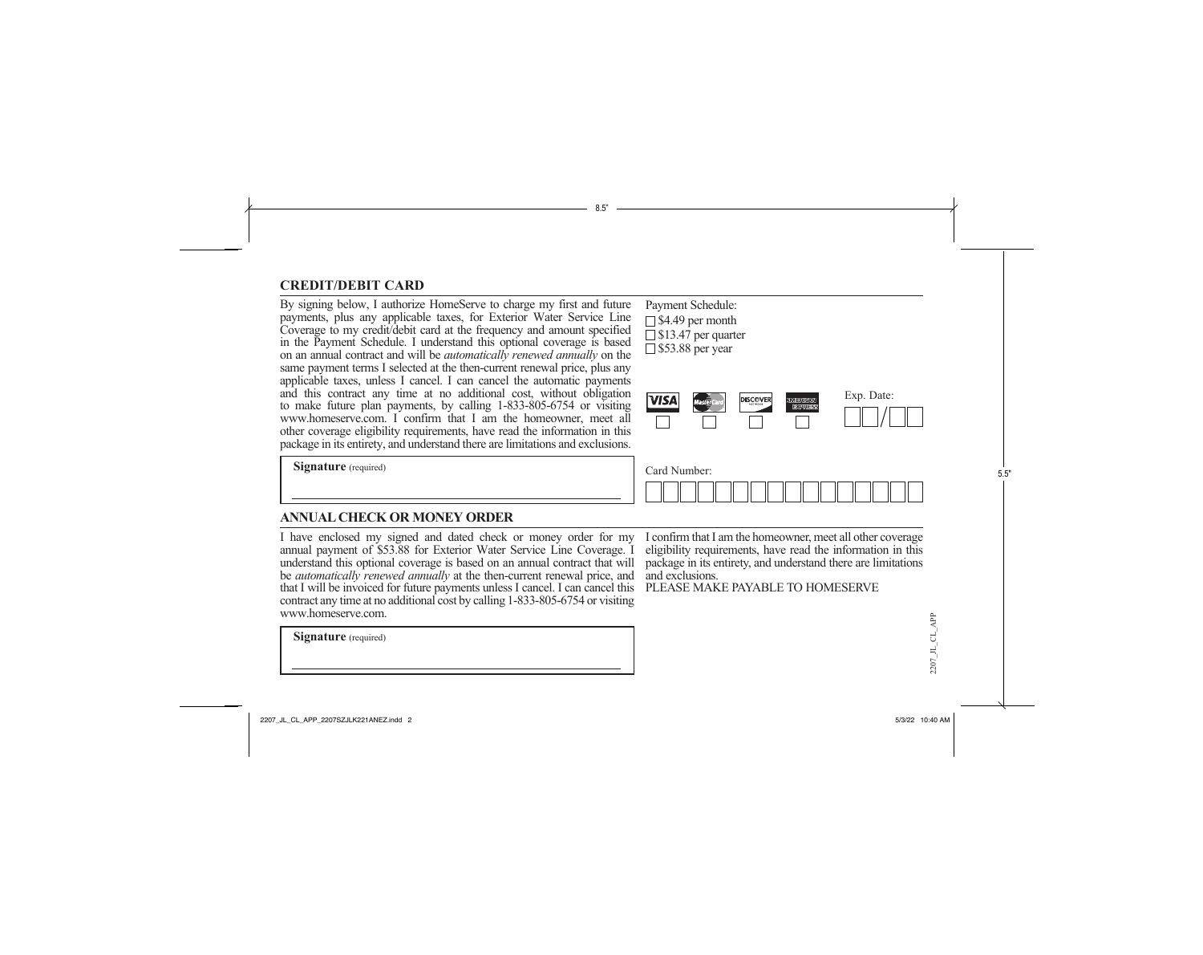### **CREDIT/DEBIT CARD**

By signing below, I authorize HomeServe to charge my first and future Payment Schedule: payments, plus any applicable taxes, for Exterior Water Service Line Coverage to my credit/debit card at the frequency and amount specified in the Payment Schedule. I understand this optional coverage is based on an annual contract and will be *automatically renewed annually* on the same payment terms I selected at the then-current renewal price, plus any applicable taxes, unless I cancel. I can cancel the automatic payments and this contract any time at no additional cost, without obligation to make future plan payments, by calling 1-833-805-6754 or visiting www.homeserve.com. I confirm that I am the homeowner, meet all other coverage eligibility requirements, have read the information in this package in its entirety, and understand there are limitations and exclusions.

 $\Box$  \$4.49 per month □ \$13.47 per quarter  $\Box$  \$53.88 per year

8.5"

Card Number:

|  | <b>DISCOVER</b><br>NETWORK | <b>ERICANI</b> | Exp. Date: |
|--|----------------------------|----------------|------------|
|  |                            |                |            |

**Signature** (required)

#### **ANNUAL CHECK OR MONEY ORDER**

I have enclosed my signed and dated check or money order for my I confirm that I am the homeowner, meet all other coverage understand this optional coverage is based on an annual contract that will package in its entirety, and understand there are limitations be *automatically renewed annually* at the then-current renewal price, and and exclusions. that I will be invoiced for future payments unless I cancel. I can cancel this PLEASE MAKE PAYABLE TO HOMESERVE annual payment of \$53.88 for Exterior Water Service Line Coverage. I contract any time at no additional cost by calling 1-833-805-6754 or visiting www.homeserve.com.

**Signature** (required)

eligibility requirements, have read the information in this

2207\_JL\_CL\_APP\_2207SZJLK221ANEZ.indd 2 5/3/22 10:40 AM

2207\_JL\_CL\_APP

 $2207$  JL CL APP

5.5"